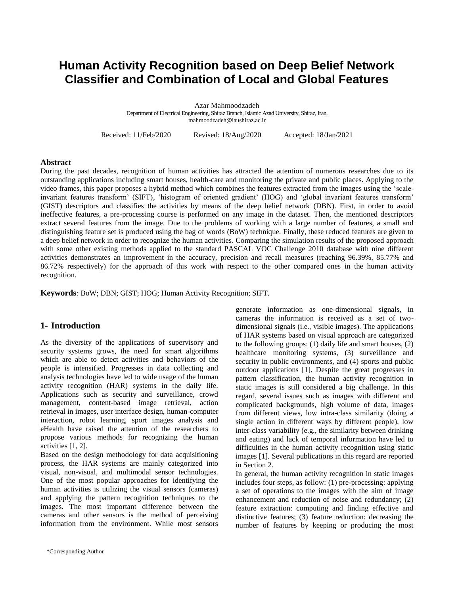# **Human Activity Recognition based on Deep Belief Network Classifier and Combination of Local and Global Features**

Azar Mahmoodzadeh Department of Electrical Engineering, Shiraz Branch, Islamic Azad University, Shiraz, Iran. mahmoodzadeh@iaushiraz.ac.ir

Received: 11/Feb/2020 Revised: 18/Aug/2020 Accepted: 18/Jan/2021

#### **Abstract**

During the past decades, recognition of human activities has attracted the attention of numerous researches due to its outstanding applications including smart houses, health-care and monitoring the private and public places. Applying to the video frames, this paper proposes a hybrid method which combines the features extracted from the images using the 'scaleinvariant features transform' (SIFT), 'histogram of oriented gradient' (HOG) and 'global invariant features transform' (GIST) descriptors and classifies the activities by means of the deep belief network (DBN). First, in order to avoid ineffective features, a pre-processing course is performed on any image in the dataset. Then, the mentioned descriptors extract several features from the image. Due to the problems of working with a large number of features, a small and distinguishing feature set is produced using the bag of words (BoW) technique. Finally, these reduced features are given to a deep belief network in order to recognize the human activities. Comparing the simulation results of the proposed approach with some other existing methods applied to the standard PASCAL VOC Challenge 2010 database with nine different activities demonstrates an improvement in the accuracy, precision and recall measures (reaching 96.39%, 85.77% and 86.72% respectively) for the approach of this work with respect to the other compared ones in the human activity recognition.

**Keywords***:* BoW; DBN; GIST; HOG; Human Activity Recognition; SIFT.

## **1- Introduction**

As the diversity of the applications of supervisory and security systems grows, the need for smart algorithms which are able to detect activities and behaviors of the people is intensified. Progresses in data collecting and analysis technologies have led to wide usage of the human activity recognition (HAR) systems in the daily life. Applications such as security and surveillance, crowd management, content-based image retrieval, action retrieval in images, user interface design, human-computer interaction, robot learning, sport images analysis and eHealth have raised the attention of the researchers to propose various methods for recognizing the human activities [1, 2].

Based on the design methodology for data acquisitioning process, the HAR systems are mainly categorized into visual, non-visual, and multimodal sensor technologies. One of the most popular approaches for identifying the human activities is utilizing the visual sensors (cameras) and applying the pattern recognition techniques to the images. The most important difference between the cameras and other sensors is the method of perceiving information from the environment. While most sensors

generate information as one-dimensional signals, in cameras the information is received as a set of twodimensional signals (i.e., visible images). The applications of HAR systems based on visual approach are categorized to the following groups: (1) daily life and smart houses, (2) healthcare monitoring systems, (3) surveillance and security in public environments, and (4) sports and public outdoor applications [1]. Despite the great progresses in pattern classification, the human activity recognition in static images is still considered a big challenge. In this regard, several issues such as images with different and complicated backgrounds, high volume of data, images from different views, low intra-class similarity (doing a single action in different ways by different people), low inter-class variability (e.g., the similarity between drinking and eating) and lack of temporal information have led to difficulties in the human activity recognition using static images [1]. Several publications in this regard are reported in Section 2.

In general, the human activity recognition in static images includes four steps, as follow: (1) pre-processing: applying a set of operations to the images with the aim of image enhancement and reduction of noise and redundancy; (2) feature extraction: computing and finding effective and distinctive features; (3) feature reduction: decreasing the number of features by keeping or producing the most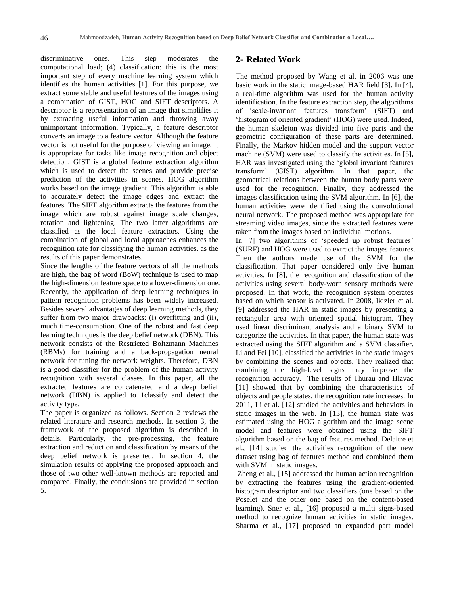discriminative ones. This step moderates the computational load; (4) classification: this is the most important step of every machine learning system which identifies the human activities [1]. For this purpose, we extract some stable and useful features of the images using a combination of GIST, HOG and SIFT descriptors. A descriptor is a representation of an image that simplifies it by extracting useful information and throwing away unimportant information. Typically, a feature descriptor converts an image to a feature vector. Although the feature vector is not useful for the purpose of viewing an image, it is appropriate for tasks like image recognition and object detection. GIST is a global feature extraction algorithm which is used to detect the scenes and provide precise prediction of the activities in scenes. HOG algorithm works based on the image gradient. This algorithm is able to accurately detect the image edges and extract the features. The SIFT algorithm extracts the features from the image which are robust against image scale changes, rotation and lightening. The two latter algorithms are classified as the local feature extractors. Using the combination of global and local approaches enhances the recognition rate for classifying the human activities, as the results of this paper demonstrates.

Since the lengths of the feature vectors of all the methods are high, the bag of word (BoW) technique is used to map the high-dimension feature space to a lower-dimension one. Recently, the application of deep learning techniques in pattern recognition problems has been widely increased. Besides several advantages of deep learning methods, they suffer from two major drawbacks: (i) overfitting and (ii), much time-consumption. One of the robust and fast deep learning techniques is the deep belief network (DBN). This network consists of the Restricted Boltzmann Machines (RBMs) for training and a back-propagation neural network for tuning the network weights. Therefore, DBN is a good classifier for the problem of the human activity recognition with several classes. In this paper, all the extracted features are concatenated and a deep belief network (DBN) is applied to 1classify and detect the activity type.

The paper is organized as follows. Section 2 reviews the related literature and research methods. In section 3, the framework of the proposed algorithm is described in details. Particularly, the pre-processing, the feature extraction and reduction and classification by means of the deep belief network is presented. In section 4, the simulation results of applying the proposed approach and those of two other well-known methods are reported and compared. Finally, the conclusions are provided in section 5.

## **2- Related Work**

The method proposed by Wang et al. in 2006 was one basic work in the static image-based HAR field [3]. In [4], a real-time algorithm was used for the human activity identification. In the feature extraction step, the algorithms of 'scale-invariant features transform' (SIFT) and 'histogram of oriented gradient' (HOG) were used. Indeed, the human skeleton was divided into five parts and the geometric configuration of these parts are determined. Finally, the Markov hidden model and the support vector machine (SVM) were used to classify the activities. In [5], HAR was investigated using the 'global invariant features transform' (GIST) algorithm. In that paper, the geometrical relations between the human body parts were used for the recognition. Finally, they addressed the images classification using the SVM algorithm. In [6], the human activities were identified using the convolutional neural network. The proposed method was appropriate for streaming video images, since the extracted features were taken from the images based on individual motions.

In [7] two algorithms of 'speeded up robust features' (SURF) and HOG were used to extract the images features. Then the authors made use of the SVM for the classification. That paper considered only five human activities. In [8], the recognition and classification of the activities using several body-worn sensory methods were proposed. In that work, the recognition system operates based on which sensor is activated. In 2008, Ikizler et al. [9] addressed the HAR in static images by presenting a rectangular area with oriented spatial histogram. They used linear discriminant analysis and a binary SVM to categorize the activities. In that paper, the human state was extracted using the SIFT algorithm and a SVM classifier. Li and Fei [10], classified the activities in the static images by combining the scenes and objects. They realized that combining the high-level signs may improve the recognition accuracy. The results of Thurau and Hlavac [11] showed that by combining the characteristics of objects and people states, the recognition rate increases. In 2011, Li et al. [12] studied the activities and behaviors in static images in the web. In [13], the human state was estimated using the HOG algorithm and the image scene model and features were obtained using the SIFT algorithm based on the bag of features method. Delaitre et al., [14] studied the activities recognition of the new dataset using bag of features method and combined them with SVM in static images.

Zheng et al., [15] addressed the human action recognition by extracting the features using the gradient-oriented histogram descriptor and two classifiers (one based on the Poselet and the other one based on the content-based learning). Sner et al., [16] proposed a multi signs-based method to recognize human activities in static images. Sharma et al., [17] proposed an expanded part model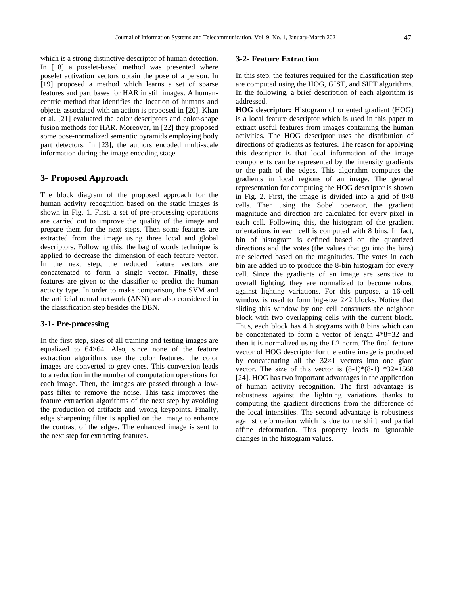which is a strong distinctive descriptor of human detection. In [18] a poselet-based method was presented where poselet activation vectors obtain the pose of a person. In [19] proposed a method which learns a set of sparse features and part bases for HAR in still images. A humancentric method that identifies the location of humans and objects associated with an action is proposed in [20]. Khan et al. [21] evaluated the color descriptors and color-shape fusion methods for HAR. Moreover, in [22] they proposed some pose-normalized semantic pyramids employing body part detectors. In [23], the authors encoded multi-scale information during the image encoding stage.

## **3- Proposed Approach**

The block diagram of the proposed approach for the human activity recognition based on the static images is shown in Fig. 1. First, a set of pre-processing operations are carried out to improve the quality of the image and prepare them for the next steps. Then some features are extracted from the image using three local and global descriptors. Following this, the bag of words technique is applied to decrease the dimension of each feature vector. In the next step, the reduced feature vectors are concatenated to form a single vector. Finally, these features are given to the classifier to predict the human activity type. In order to make comparison, the SVM and the artificial neural network (ANN) are also considered in the classification step besides the DBN.

#### **3-1- Pre-processing**

In the first step, sizes of all training and testing images are equalized to 64×64. Also, since none of the feature extraction algorithms use the color features, the color images are converted to grey ones. This conversion leads to a reduction in the number of computation operations for each image. Then, the images are passed through a lowpass filter to remove the noise. This task improves the feature extraction algorithms of the next step by avoiding the production of artifacts and wrong keypoints. Finally, edge sharpening filter is applied on the image to enhance the contrast of the edges. The enhanced image is sent to the next step for extracting features.

#### **3-2- Feature Extraction**

In this step, the features required for the classification step are computed using the HOG, GIST, and SIFT algorithms. In the following, a brief description of each algorithm is addressed.

**HOG descriptor:** Histogram of oriented gradient (HOG) is a local feature descriptor which is used in this paper to extract useful features from images containing the human activities. The HOG descriptor uses the distribution of directions of gradients as features. The reason for applying this descriptor is that local information of the image components can be represented by the intensity gradients or the path of the edges. This algorithm computes the gradients in local regions of an image. The general representation for computing the HOG descriptor is shown in Fig. 2. First, the image is divided into a grid of  $8\times8$ cells. Then using the Sobel operator, the gradient magnitude and direction are calculated for every pixel in each cell. Following this, the histogram of the gradient orientations in each cell is computed with 8 bins. In fact, bin of histogram is defined based on the quantized directions and the votes (the values that go into the bins) are selected based on the magnitudes. The votes in each bin are added up to produce the 8-bin histogram for every cell. Since the gradients of an image are sensitive to overall lighting, they are normalized to become robust against lighting variations. For this purpose, a 16-cell window is used to form big-size 2×2 blocks. Notice that sliding this window by one cell constructs the neighbor block with two overlapping cells with the current block. Thus, each block has 4 histograms with 8 bins which can be concatenated to form a vector of length 4\*8=32 and then it is normalized using the L2 norm. The final feature vector of HOG descriptor for the entire image is produced by concatenating all the  $32\times1$  vectors into one giant vector. The size of this vector is  $(8-1)*(8-1) *32=1568$ [24]. HOG has two important advantages in the application of human activity recognition. The first advantage is robustness against the lightning variations thanks to computing the gradient directions from the difference of the local intensities. The second advantage is robustness against deformation which is due to the shift and partial affine deformation. This property leads to ignorable changes in the histogram values.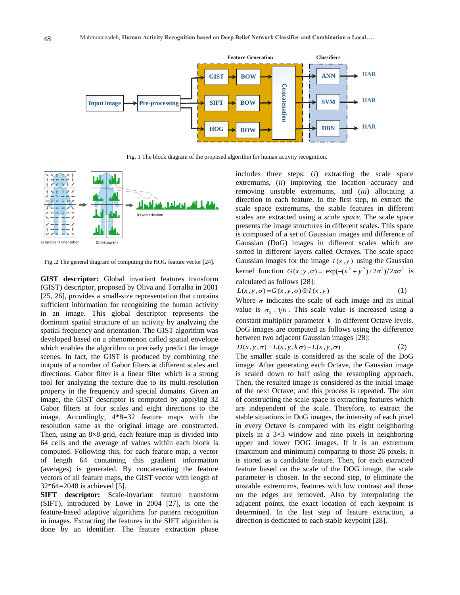

Fig. 1 The block diagram of the proposed algorithm for human activity recognition.



Fig .2 The general diagram of computing the HOG feature vector [24].

**GIST descriptor:** Global invariant features transform (GIST) descriptor, proposed by Oliva and Torralba in 2001 [25, 26], provides a small-size representation that contains sufficient information for recognizing the human activity in an image. This global descriptor represents the dominant spatial structure of an activity by analyzing the spatial frequency and orientation. The GIST algorithm was developed based on a phenomenon called spatial envelope which enables the algorithm to precisely predict the image scenes. In fact, the GIST is produced by combining the outputs of a number of Gabor filters at different scales and directions. Gabor filter is a linear filter which is a strong tool for analyzing the texture due to its multi-resolution property in the frequency and special domains. Given an image, the GIST descriptor is computed by applying 32 Gabor filters at four scales and eight directions to the image. Accordingly, 4\*8=32 feature maps with the resolution same as the original image are constructed. Then, using an 8×8 grid, each feature map is divided into 64 cells and the average of values within each block is computed. Following this, for each feature map, a vector of length 64 containing this gradient information (averages) is generated. By concatenating the feature vectors of all feature maps, the GIST vector with length of 32\*64=2048 is achieved [5].

**SIFT descriptor:** Scale-invariant feature transform (SIFT), introduced by Lowe in 2004 [27], is one the feature-based adaptive algorithms for pattern recognition in images. Extracting the features in the SIFT algorithm is done by an identifier. The feature extraction phase includes three steps: (*i*) extracting the scale space extremums, (*ii*) improving the location accuracy and removing unstable extremums, and (*iii*) allocating a direction to each feature. In the first step, to extract the scale space extremums, the stable features in different scales are extracted using a *scale space*. The scale space presents the image structures in different scales. This space is composed of a set of Gaussian images and difference of Gaussian (DoG) images in different scales which are sorted in different layers called *Octave*s. The scale space Gaussian images for the image  $I(x, y)$  using the Gaussian kernel function  $G(x, y, \sigma) = \exp(-(x^2 + y^2)/2\sigma^2)/2\pi\sigma^2$  is calculated as follows [28]:

$$
L(x, y, \sigma) = G(x, y, \sigma) \otimes I(x, y)
$$
 (1)

Where  $\sigma$  indicates the scale of each image and its initial value is  $\sigma_0 = 1/6$ . This scale value is increased using a constant multiplier parameter *k* in different Octave levels. DoG images are computed as follows using the difference between two adjacent Gaussian images [28]:

$$
D(x, y, \sigma) = L(x, y, k\sigma) - L(x, y, \sigma)
$$
 (2)

The smaller scale is considered as the scale of the DoG image. After generating each Octave, the Gaussian image is scaled down to half using the resampling approach. Then, the resulted image is considered as the initial image of the next Octave; and this process is repeated. The aim of constructing the scale space is extracting features which are independent of the scale. Therefore, to extract the stable situations in DoG images, the intensity of each pixel in every Octave is compared with its eight neighboring pixels in a  $3\times3$  window and nine pixels in neighboring upper and lower DOG images. If it is an extremum (maximum and minimum) comparing to those 26 pixels, it is stored as a candidate feature. Then, for each extracted feature based on the scale of the DOG image, the scale parameter is chosen. In the second step, to eliminate the unstable extremums, features with low contrast and those on the edges are removed. Also by interpolating the adjacent points, the exact location of each keypoint is determined. In the last step of feature extraction, a direction is dedicated to each stable keypoint [28].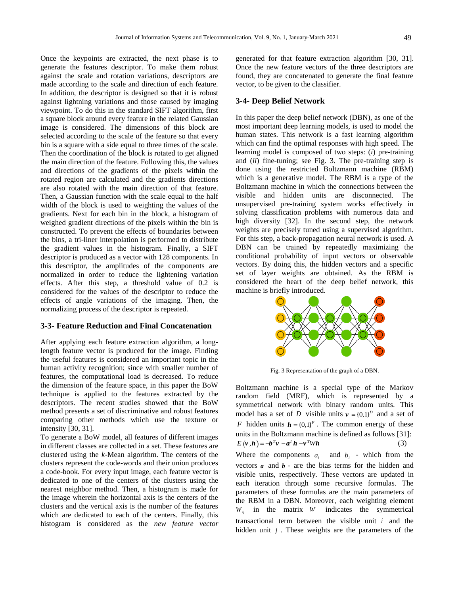Once the keypoints are extracted, the next phase is to generate the features descriptor. To make them robust against the scale and rotation variations, descriptors are made according to the scale and direction of each feature. In addition, the descriptor is designed so that it is robust against lightning variations and those caused by imaging viewpoint. To do this in the standard SIFT algorithm, first a square block around every feature in the related Gaussian image is considered. The dimensions of this block are selected according to the scale of the feature so that every bin is a square with a side equal to three times of the scale. Then the coordination of the block is rotated to get aligned the main direction of the feature. Following this, the values and directions of the gradients of the pixels within the rotated region are calculated and the gradients directions are also rotated with the main direction of that feature. Then, a Gaussian function with the scale equal to the half width of the block is used to weighting the values of the gradients. Next for each bin in the block, a histogram of weighed gradient directions of the pixels within the bin is constructed. To prevent the effects of boundaries between the bins, a tri-liner interpolation is performed to distribute the gradient values in the histogram. Finally, a SIFT descriptor is produced as a vector with 128 components. In this descriptor, the amplitudes of the components are normalized in order to reduce the lightening variation effects. After this step, a threshold value of 0.2 is considered for the values of the descriptor to reduce the effects of angle variations of the imaging. Then, the normalizing process of the descriptor is repeated.

## **3-3- Feature Reduction and Final Concatenation**

After applying each feature extraction algorithm, a longlength feature vector is produced for the image. Finding the useful features is considered an important topic in the human activity recognition; since with smaller number of features, the computational load is decreased. To reduce the dimension of the feature space, in this paper the BoW technique is applied to the features extracted by the descriptors. The recent studies showed that the BoW method presents a set of discriminative and robust features comparing other methods which use the texture or intensity [30, 31].

To generate a BoW model, all features of different images in different classes are collected in a set. These features are clustered using the *k*-Mean algorithm. The centers of the clusters represent the code-words and their union produces a code-book. For every input image, each feature vector is dedicated to one of the centers of the clusters using the nearest neighbor method. Then, a histogram is made for the image wherein the horizontal axis is the centers of the clusters and the vertical axis is the number of the features which are dedicated to each of the centers. Finally, this histogram is considered as the *new feature vector*

generated for that feature extraction algorithm [30, 31]. Once the new feature vectors of the three descriptors are found, they are concatenated to generate the final feature vector, to be given to the classifier.

#### **3-4- Deep Belief Network**

In this paper the deep belief network (DBN), as one of the most important deep learning models, is used to model the human states. This network is a fast learning algorithm which can find the optimal responses with high speed. The learning model is composed of two steps: (*i*) pre-training and (*ii*) fine-tuning; see Fig. 3. The pre-training step is done using the restricted Boltzmann machine (RBM) which is a generative model. The RBM is a type of the Boltzmann machine in which the connections between the visible and hidden units are disconnected. The unsupervised pre-training system works effectively in solving classification problems with numerous data and high diversity [32]. In the second step, the network weights are precisely tuned using a supervised algorithm. For this step, a back-propagation neural network is used. A DBN can be trained by repeatedly maximizing the conditional probability of input vectors or observable vectors. By doing this, the hidden vectors and a specific set of layer weights are obtained. As the RBM is considered the heart of the deep belief network, this machine is briefly introduced.



Fig. 3 Representation of the graph of a DBN.

Boltzmann machine is a special type of the Markov random field (MRF), which is represented by a symmetrical network with binary random units. This model has a set of *D* visible units  $v = \{0,1\}^D$  and a set of *F* hidden units  $h = \{0,1\}^F$ . The common energy of these units in the Boltzmann machine is defined as follows [31]:  $E(v, h) = -b^T v - a^T h - v^T W h$ (3) Where the components  $a_i$  and  $b_i$  - which from the vectors  $a$  and  $b$  - are the bias terms for the hidden and visible units, respectively. These vectors are updated in each iteration through some recursive formulas. The parameters of these formulas are the main parameters of the RBM in a DBN. Moreover, each weighting element  $W_{ij}$  in the matrix *W* indicates the symmetrical transactional term between the visible unit *i* and the hidden unit *j* . These weights are the parameters of the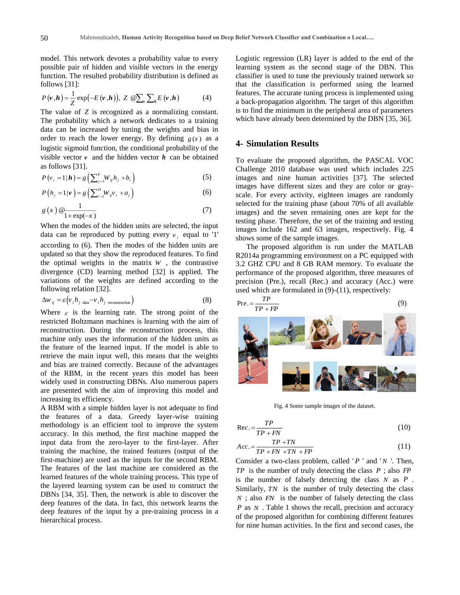model. This network devotes a probability value to every possible pair of hidden and visible vectors in the energy function. The resulted probability distribution is defined as follows [31]:

$$
P(\mathbf{v}, \mathbf{h}) = \frac{1}{Z} \exp(-E(\mathbf{v}, \mathbf{h})), Z \mathbb{Q} \sum_{\nu} \sum_{h} E(\mathbf{v}, \mathbf{h})
$$
 (4)

The value of *Z* is recognized as a normalizing constant. The probability which a network dedicates to a training data can be increased by tuning the weights and bias in order to reach the lower energy. By defining  $g(x)$  as a logistic sigmoid function, the conditional probability of the visible vector  $\nu$  and the hidden vector  $\boldsymbol{h}$  can be obtained as follows [31].

$$
P(v_i = 1 | \mathbf{h}) = g\left(\sum_{j=1}^{F} W_{ij} h_j + b_i\right)
$$
\n<sup>(5)</sup>

$$
P\left(h_{j}=1|\nu\right)=g\left(\sum_{i=1}^{D}W_{ij}\nu_{i}+a_{j}\right)
$$
\n
$$
(6)
$$

$$
g\left(x\right) \mathcal{Q} \frac{1}{1 + \exp(-x)}\tag{7}
$$

When the modes of the hidden units are selected, the input data can be reproduced by putting every  $v_i$  equal to '1' according to (6). Then the modes of the hidden units are updated so that they show the reproduced features. To find the optimal weights in the matrix  $W$ , the contrastive divergence (CD) learning method [32] is applied. The variations of the weights are defined according to the following relation [32].

$$
\Delta w_{ij} = \varepsilon \Big( v_i h_{j \text{ data}} - v_i h_{j \text{ reconstruction}} \Big)
$$
 (8)

Where  $\varepsilon$  is the learning rate. The strong point of the restricted Boltzmann machines is learning with the aim of reconstruction. During the reconstruction process, this machine only uses the information of the hidden units as the feature of the learned input. If the model is able to retrieve the main input well, this means that the weights and bias are trained correctly. Because of the advantages of the RBM, in the recent years this model has been widely used in constructing DBNs. Also numerous papers are presented with the aim of improving this model and increasing its efficiency.

A RBM with a simple hidden layer is not adequate to find the features of a data. Greedy layer-wise training methodology is an efficient tool to improve the system accuracy. In this method, the first machine mapped the input data from the zero-layer to the first-layer. After training the machine, the trained features (output of the first-machine) are used as the inputs for the second RBM. The features of the last machine are considered as the learned features of the whole training process. This type of the layered learning system can be used to construct the DBNs [34, 35]. Then, the network is able to discover the deep features of the data. In fact, this network learns the deep features of the input by a pre-training process in a hierarchical process.

Logistic regression (LR) layer is added to the end of the learning system as the second stage of the DBN. This classifier is used to tune the previously trained network so that the classification is performed using the learned features. The accurate tuning process is implemented using a back-propagation algorithm. The target of this algorithm is to find the minimum in the peripheral area of parameters which have already been determined by the DBN [35, 36].

## **4- Simulation Results**

To evaluate the proposed algorithm, the PASCAL VOC Challenge 2010 database was used which includes 225 images and nine human activities [37]. The selected images have different sizes and they are color or grayscale. For every activity, eighteen images are randomly selected for the training phase (about 70% of all available images) and the seven remaining ones are kept for the testing phase. Therefore, the set of the training and testing images include 162 and 63 images, respectively. Fig. 4 shows some of the sample images.

The proposed algorithm is run under the MATLAB R2014a programming environment on a PC equipped with 3.2 GHZ CPU and 8 GB RAM memory. To evaluate the performance of the proposed algorithm, three measures of precision (Pre.), recall (Rec.) and accuracy (Acc.) were used which are formulated in (9)-(11), respectively:

$$
\mathbf{P}_{\text{re.}} = \frac{TP}{TP + FP}
$$
\n
$$
\mathbf{P}_{\text{re.}} = \frac{TP}{TP + FP}
$$
\n
$$
\mathbf{P}_{\text{re.}} = \frac{TP}{TP + FP}
$$
\n
$$
\mathbf{P}_{\text{re.}} = \frac{TP}{TP + FP}
$$
\n
$$
\mathbf{P}_{\text{re.}} = \frac{TP}{TP + FP}
$$
\n
$$
\mathbf{P}_{\text{re.}} = \frac{TP}{TP + FP}
$$
\n
$$
\mathbf{P}_{\text{re.}} = \frac{TP}{TP + FP}
$$
\n
$$
\mathbf{P}_{\text{re.}} = \frac{TP}{TP + FP}
$$
\n
$$
\mathbf{P}_{\text{re.}} = \frac{TP}{TP + FP}
$$
\n
$$
\mathbf{P}_{\text{re.}} = \frac{TP}{TP + FP}
$$
\n
$$
\mathbf{P}_{\text{re.}} = \frac{TP}{TP + FP}
$$
\n
$$
\mathbf{P}_{\text{re.}} = \frac{TP}{TP + FP}
$$
\n
$$
\mathbf{P}_{\text{re.}} = \frac{TP}{TP + FP}
$$
\n
$$
\mathbf{P}_{\text{re.}} = \frac{TP}{TP + FP}
$$
\n
$$
\mathbf{P}_{\text{re.}} = \frac{TP}{TP + FP}
$$
\n
$$
\mathbf{P}_{\text{re.}} = \frac{TP}{TP + FP}
$$
\n
$$
\mathbf{P}_{\text{re.}} = \frac{TP}{TP + FP}
$$
\n
$$
\mathbf{P}_{\text{re.}} = \frac{TP}{TP + FP}
$$

Fig. 4 Some sample images of the dataset.

JOS COMERCIA A

$$
\text{Re}c. = \frac{TP}{TP + FN} \tag{10}
$$

$$
Acc. = \frac{TP + TN}{TP + FN + TN + FP}
$$
\n<sup>(11)</sup>

Consider a two-class problem, called '*P* ' and '*N* '. Then, *TP* is the number of truly detecting the class *P* ; also *FP* is the number of falsely detecting the class *N* as *<sup>P</sup>* . Similarly, TN is the number of truly detecting the class *N* ; also *FN* is the number of falsely detecting the class *P* as *N* . Table 1 shows the recall, precision and accuracy of the proposed algorithm for combining different features for nine human activities. In the first and second cases, the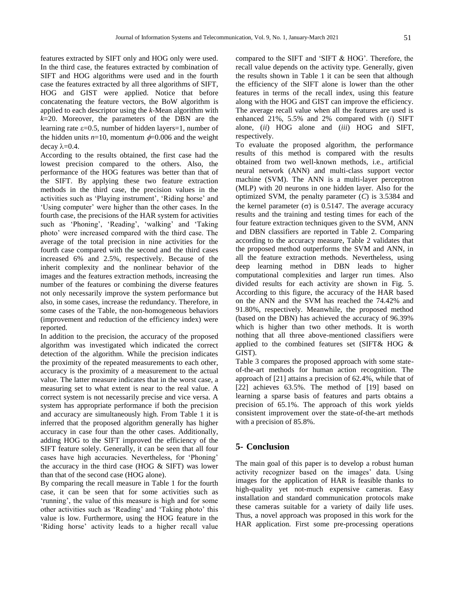features extracted by SIFT only and HOG only were used. In the third case, the features extracted by combination of SIFT and HOG algorithms were used and in the fourth case the features extracted by all three algorithms of SIFT, HOG and GIST were applied. Notice that before concatenating the feature vectors, the BoW algorithm is applied to each descriptor using the *k*-Mean algorithm with *k*=20. Moreover, the parameters of the DBN are the learning rate  $\varepsilon$ =0.5, number of hidden layers=1, number of the hidden units  $n=10$ , momentum  $\phi=0.006$  and the weight decay  $\lambda = 0.4$ .

According to the results obtained, the first case had the lowest precision compared to the others. Also, the performance of the HOG features was better than that of the SIFT. By applying these two feature extraction methods in the third case, the precision values in the activities such as 'Playing instrument', 'Riding horse' and 'Using computer' were higher than the other cases. In the fourth case, the precisions of the HAR system for activities such as 'Phoning', 'Reading', 'walking' and 'Taking photo' were increased compared with the third case. The average of the total precision in nine activities for the fourth case compared with the second and the third cases increased 6% and 2.5%, respectively. Because of the inherit complexity and the nonlinear behavior of the images and the features extraction methods, increasing the number of the features or combining the diverse features not only necessarily improve the system performance but also, in some cases, increase the redundancy. Therefore, in some cases of the Table, the non-homogeneous behaviors (improvement and reduction of the efficiency index) were reported.

In addition to the precision, the accuracy of the proposed algorithm was investigated which indicated the correct detection of the algorithm. While the precision indicates the proximity of the repeated measurements to each other, accuracy is the proximity of a measurement to the actual value. The latter measure indicates that in the worst case, a measuring set to what extent is near to the real value. A correct system is not necessarily precise and vice versa. A system has appropriate performance if both the precision and accuracy are simultaneously high. From Table 1 it is inferred that the proposed algorithm generally has higher accuracy in case four than the other cases. Additionally, adding HOG to the SIFT improved the efficiency of the SIFT feature solely. Generally, it can be seen that all four cases have high accuracies. Nevertheless, for 'Phoning' the accuracy in the third case (HOG  $&$  SIFT) was lower than that of the second case (HOG alone).

By comparing the recall measure in Table 1 for the fourth case, it can be seen that for some activities such as 'running', the value of this measure is high and for some other activities such as 'Reading' and 'Taking photo' this value is low. Furthermore, using the HOG feature in the 'Riding horse' activity leads to a higher recall value compared to the SIFT and 'SIFT & HOG'. Therefore, the recall value depends on the activity type. Generally, given the results shown in Table 1 it can be seen that although the efficiency of the SIFT alone is lower than the other features in terms of the recall index, using this feature along with the HOG and GIST can improve the efficiency. The average recall value when all the features are used is enhanced 21%, 5.5% and 2% compared with (*i*) SIFT alone, (*ii*) HOG alone and (*iii*) HOG and SIFT, respectively.

To evaluate the proposed algorithm, the performance results of this method is compared with the results obtained from two well-known methods, i.e., artificial neural network (ANN) and multi-class support vector machine (SVM). The ANN is a multi-layer perceptron (MLP) with 20 neurons in one hidden layer. Also for the optimized SVM, the penalty parameter (*C*) is 3.5384 and the kernel parameter  $(\sigma)$  is 0.5147. The average accuracy results and the training and testing times for each of the four feature extraction techniques given to the SVM, ANN and DBN classifiers are reported in Table 2. Comparing according to the accuracy measure, Table 2 validates that the proposed method outperforms the SVM and ANN, in all the feature extraction methods. Nevertheless, using deep learning method in DBN leads to higher computational complexities and larger run times. Also divided results for each activity are shown in Fig. 5. According to this figure, the accuracy of the HAR based on the ANN and the SVM has reached the 74.42% and 91.80%, respectively. Meanwhile, the proposed method (based on the DBN) has achieved the accuracy of 96.39% which is higher than two other methods. It is worth nothing that all three above-mentioned classifiers were applied to the combined features set (SIFT& HOG  $\&$ GIST).

Table 3 compares the proposed approach with some stateof-the-art methods for human action recognition. The approach of [21] attains a precision of 62*.*4%, while that of [22] achieves 63*.*5%. The method of [19] based on learning a sparse basis of features and parts obtains a precision of 65*.*1%. The approach of this work yields consistent improvement over the state-of-the-art methods with a precision of 85*.*8%.

# **5- Conclusion**

The main goal of this paper is to develop a robust human activity recognizer based on the images' data. Using images for the application of HAR is feasible thanks to high-quality yet not-much expensive cameras. Easy installation and standard communication protocols make these cameras suitable for a variety of daily life uses. Thus, a novel approach was proposed in this work for the HAR application. First some pre-processing operations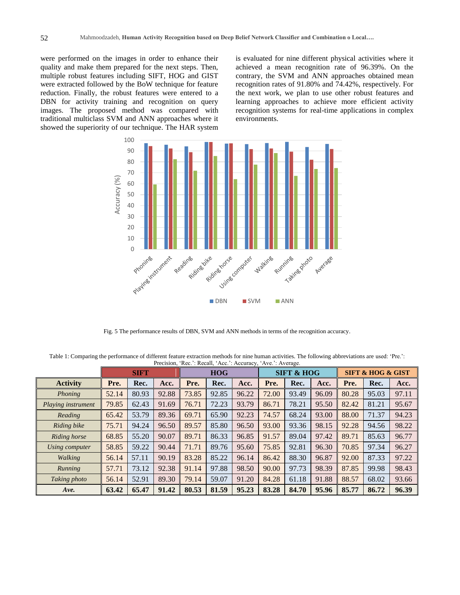were performed on the images in order to enhance their quality and make them prepared for the next steps. Then, multiple robust features including SIFT, HOG and GIST were extracted followed by the BoW technique for feature reduction. Finally, the robust features were entered to a DBN for activity training and recognition on query images. The proposed method was compared with traditional multiclass SVM and ANN approaches where it showed the superiority of our technique. The HAR system is evaluated for nine different physical activities where it achieved a mean recognition rate of 96.39%. On the contrary, the SVM and ANN approaches obtained mean recognition rates of 91.80% and 74.42%, respectively. For the next work, we plan to use other robust features and learning approaches to achieve more efficient activity recognition systems for real-time applications in complex environments.



Fig. 5 The performance results of DBN, SVM and ANN methods in terms of the recognition accuracy.

Table 1: Comparing the performance of different feature extraction methods for nine human activities. The following abbreviations are used: 'Pre.': Precision, 'Rec.': Recall, 'Acc.': Accuracy, 'Ave.': Average.

|                    | <b>SIFT</b> |       |       | <b>HOG</b> |       |       | <b>SIFT &amp; HOG</b> |       |       | <b>SIFT &amp; HOG &amp; GIST</b> |       |       |
|--------------------|-------------|-------|-------|------------|-------|-------|-----------------------|-------|-------|----------------------------------|-------|-------|
| <b>Activity</b>    | Pre.        | Rec.  | Acc.  | Pre.       | Rec.  | Acc.  | Pre.                  | Rec.  | Acc.  | Pre.                             | Rec.  | Acc.  |
| Phoning            | 52.14       | 80.93 | 92.88 | 73.85      | 92.85 | 96.22 | 72.00                 | 93.49 | 96.09 | 80.28                            | 95.03 | 97.11 |
| Playing instrument | 79.85       | 62.43 | 91.69 | 76.71      | 72.23 | 93.79 | 86.71                 | 78.21 | 95.50 | 82.42                            | 81.21 | 95.67 |
| Reading            | 65.42       | 53.79 | 89.36 | 69.71      | 65.90 | 92.23 | 74.57                 | 68.24 | 93.00 | 88.00                            | 71.37 | 94.23 |
| Riding bike        | 75.71       | 94.24 | 96.50 | 89.57      | 85.80 | 96.50 | 93.00                 | 93.36 | 98.15 | 92.28                            | 94.56 | 98.22 |
| Riding horse       | 68.85       | 55.20 | 90.07 | 89.71      | 86.33 | 96.85 | 91.57                 | 89.04 | 97.42 | 89.71                            | 85.63 | 96.77 |
| Using computer     | 58.85       | 59.22 | 90.44 | 71.71      | 89.76 | 95.60 | 75.85                 | 92.81 | 96.30 | 70.85                            | 97.34 | 96.27 |
| Walking            | 56.14       | 57.11 | 90.19 | 83.28      | 85.22 | 96.14 | 86.42                 | 88.30 | 96.87 | 92.00                            | 87.33 | 97.22 |
| Running            | 57.71       | 73.12 | 92.38 | 91.14      | 97.88 | 98.50 | 90.00                 | 97.73 | 98.39 | 87.85                            | 99.98 | 98.43 |
| Taking photo       | 56.14       | 52.91 | 89.30 | 79.14      | 59.07 | 91.20 | 84.28                 | 61.18 | 91.88 | 88.57                            | 68.02 | 93.66 |
| Ave.               | 63.42       | 65.47 | 91.42 | 80.53      | 81.59 | 95.23 | 83.28                 | 84.70 | 95.96 | 85.77                            | 86.72 | 96.39 |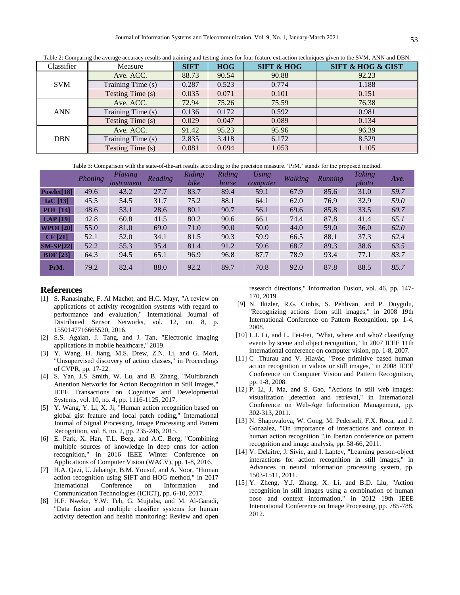| Classifier | Measure           | <b>SIFT</b> | <b>HOG</b> | <b>SIFT &amp; HOG</b> | <b>SIFT &amp; HOG &amp; GIST</b> |  |  |
|------------|-------------------|-------------|------------|-----------------------|----------------------------------|--|--|
|            | Ave. ACC.         | 88.73       | 90.54      | 90.88                 | 92.23                            |  |  |
| <b>SVM</b> | Training Time (s) | 0.287       | 0.523      | 0.774                 | 1.188                            |  |  |
|            | Testing Time (s)  | 0.035       | 0.071      | 0.101                 | 0.151                            |  |  |
| <b>ANN</b> | Ave. ACC.         | 72.94       | 75.26      | 75.59                 | 76.38                            |  |  |
|            | Training Time (s) | 0.136       | 0.172      | 0.592                 | 0.981                            |  |  |
|            | Testing Time (s)  | 0.029       | 0.047      | 0.089                 | 0.134                            |  |  |
| <b>DBN</b> | Ave. ACC.         | 91.42       | 95.23      | 95.96                 | 96.39                            |  |  |
|            | Training Time (s) | 2.835       | 3.418      | 6.172                 | 8.529                            |  |  |
|            | Testing Time (s)  | 0.081       | 0.094      | 1.053                 | 1.105                            |  |  |

Table 2: Comparing the average accuracy results and training and testing times for four feature extraction techniques given to the SVM, ANN and DBN.

Table 3: Comparison with the state-of-the-art results according to the precision measure. 'PrM.' stands for the proposed method.

|                  | Phoning | <b>Playing</b><br><i>instrument</i> | Reading | Riding<br>bike | Riding<br>horse | <b>Using</b><br>computer | Walking | <b>Running</b> | <b>Taking</b><br>photo | Ave. |
|------------------|---------|-------------------------------------|---------|----------------|-----------------|--------------------------|---------|----------------|------------------------|------|
| Poselet[18]      | 49.6    | 43.2                                | 27.7    | 83.7           | 89.4            | 59.1                     | 67.9    | 85.6           | 31.0                   | 59.7 |
| $IaC$ [13]       | 45.5    | 54.5                                | 31.7    | 75.2           | 88.1            | 64.1                     | 62.0    | 76.9           | 32.9                   | 59.0 |
| <b>POI</b> [14]  | 48.6    | 53.1                                | 28.6    | 80.1           | 90.7            | 56.1                     | 69.6    | 85.8           | 33.5                   | 60.7 |
| LAP $[19]$       | 42.8    | 60.8                                | 41.5    | 80.2           | 90.6            | 66.1                     | 74.4    | 87.8           | 41.4                   | 65.1 |
| <b>WPOI</b> [20] | 55.0    | 81.0                                | 69.0    | 71.0           | 90.0            | 50.0                     | 44.0    | 59.0           | 36.0                   | 62.0 |
| CF [21]          | 52.1    | 52.0                                | 34.1    | 81.5           | 90.3            | 59.9                     | 66.5    | 88.1           | 37.3                   | 62.4 |
| $SM-SP[22]$      | 52.2    | 55.3                                | 35.4    | 81.4           | 91.2            | 59.6                     | 68.7    | 89.3           | 38.6                   | 63.5 |
| <b>BDF</b> [23]  | 64.3    | 94.5                                | 65.1    | 96.9           | 96.8            | 87.7                     | 78.9    | 93.4           | 77.1                   | 83.7 |
| PrM.             | 79.2    | 82.4                                | 88.0    | 92.2           | 89.7            | 70.8                     | 92.0    | 87.8           | 88.5                   | 85.7 |

## **References**

- [1] S. Ranasinghe, F. Al Machot, and H.C. Mayr, "A review on applications of activity recognition systems with regard to performance and evaluation," International Journal of Distributed Sensor Networks, vol. 12, no. 8, p. 1550147716665520, 2016.
- [2] S.S. Agaian, J. Tang, and J. Tan, "Electronic imaging applications in mobile healthcare," 2019.
- [3] Y. Wang, H. Jiang, M.S. Drew, Z.N. Li, and G. Mori, "Unsupervised discovery of action classes," in Proceedings of CVPR, pp. 17-22.
- [4] S. Yan, J.S. Smith, W. Lu, and B. Zhang, "Multibranch Attention Networks for Action Recognition in Still Images," IEEE Transactions on Cognitive and Developmental Systems, vol. 10, no. 4, pp. 1116-1125, 2017.
- [5] Y. Wang, Y. Li, X. Ji, "Human action recognition based on global gist feature and local patch coding," International Journal of Signal Processing, Image Processing and Pattern Recognition, vol. 8, no. 2, pp. 235-246, 2015.
- [6] E. Park, X. Han, T.L. Berg, and A.C. Berg, "Combining multiple sources of knowledge in deep cnns for action recognition," in 2016 IEEE Winter Conference on Applications of Computer Vision (WACV), pp. 1-8, 2016.
- [7] H.A. Qazi, U. Jahangir, B.M. Yousuf, and A. Noor, "Human action recognition using SIFT and HOG method," in 2017 International Conference on Information and Communication Technologies (ICICT), pp. 6-10, 2017.
- [8] H.F. Nweke, Y.W. Teh, G. Mujtaba, and M. Al-Garadi, "Data fusion and multiple classifier systems for human activity detection and health monitoring: Review and open

research directions," Information Fusion, vol. 46, pp. 147- 170, 2019.

- [9] N. Ikizler, R.G. Cinbis, S. Pehlivan, and P. Duygulu, "Recognizing actions from still images," in 2008 19th International Conference on Pattern Recognition, pp. 1-4, 2008.
- [10] L.J. Li, and L. Fei-Fei, "What, where and who? classifying events by scene and object recognition," In 2007 IEEE 11th international conference on computer vision, pp. 1-8, 2007.
- [11] C .Thurau and V. Hlavác, "Pose primitive based human action recognition in videos or still images," in 2008 IEEE Conference on Computer Vision and Pattern Recognition, pp. 1-8, 2008.
- [12] P. Li, J. Ma, and S. Gao, "Actions in still web images: visualization ,detection and retrieval," in International Conference on Web-Age Information Management, pp. 302-313, 2011.
- [13] N. Shapovalova, W. Gong, M. Pedersoli, F.X. Roca, and J. Gonzalez, "On importance of interactions and context in human action recognition ",in Iberian conference on pattern recognition and image analysis, pp. 58-66, 2011.
- [14] V. Delaitre, J. Sivic, and I. Laptev, "Learning person-object" interactions for action recognition in still images," in Advances in neural information processing system, pp. 1503-1511, 2011.
- [15] Y. Zheng, Y.J. Zhang, X. Li, and B.D. Liu, "Action recognition in still images using a combination of human pose and context information," in 2012 19th IEEE International Conference on Image Processing, pp. 785-788, 2012.